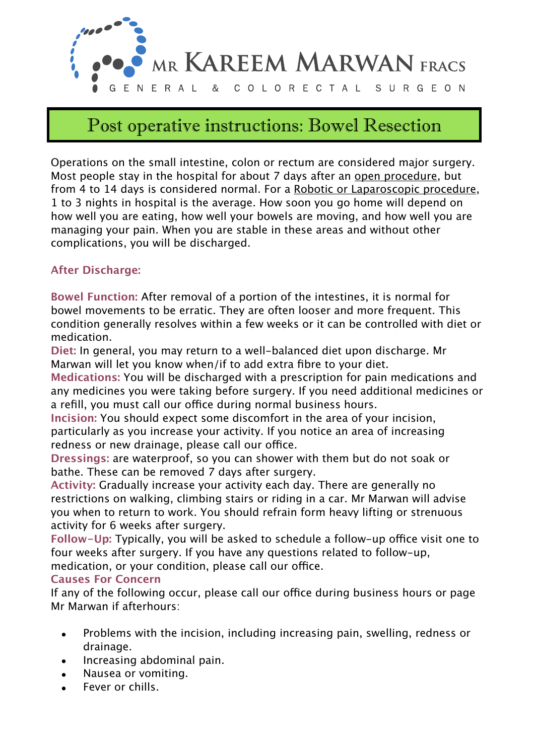

# Post operative instructions: Bowel Resection

Operations on the small intestine, colon or rectum are considered major surgery. Most people stay in the hospital for about 7 days after an open procedure, but from 4 to 14 days is considered normal. For a Robotic or Laparoscopic procedure, 1 to 3 nights in hospital is the average. How soon you go home will depend on how well you are eating, how well your bowels are moving, and how well you are managing your pain. When you are stable in these areas and without other complications, you will be discharged.

## **After Discharge:**

**Bowel Function:** After removal of a portion of the intestines, it is normal for bowel movements to be erratic. They are often looser and more frequent. This condition generally resolves within a few weeks or it can be controlled with diet or medication.

**Diet:** In general, you may return to a well-balanced diet upon discharge. Mr Marwan will let you know when/if to add extra fibre to your diet.

**Medications:** You will be discharged with a prescription for pain medications and any medicines you were taking before surgery. If you need additional medicines or a refill, you must call our office during normal business hours.

**Incision:** You should expect some discomfort in the area of your incision, particularly as you increase your activity. If you notice an area of increasing redness or new drainage, please call our office.

**Dressings:** are waterproof, so you can shower with them but do not soak or bathe. These can be removed 7 days after surgery.

**Activity:** Gradually increase your activity each day. There are generally no restrictions on walking, climbing stairs or riding in a car. Mr Marwan will advise you when to return to work. You should refrain form heavy lifting or strenuous activity for 6 weeks after surgery.

**Follow-Up:** Typically, you will be asked to schedule a follow-up office visit one to four weeks after surgery. If you have any questions related to follow-up,

medication, or your condition, please call our office.

#### **Causes For Concern**

If any of the following occur, please call our office during business hours or page Mr Marwan if afterhours:

- Problems with the incision, including increasing pain, swelling, redness or drainage.
- Increasing abdominal pain.
- Nausea or vomiting.
- Fever or chills.